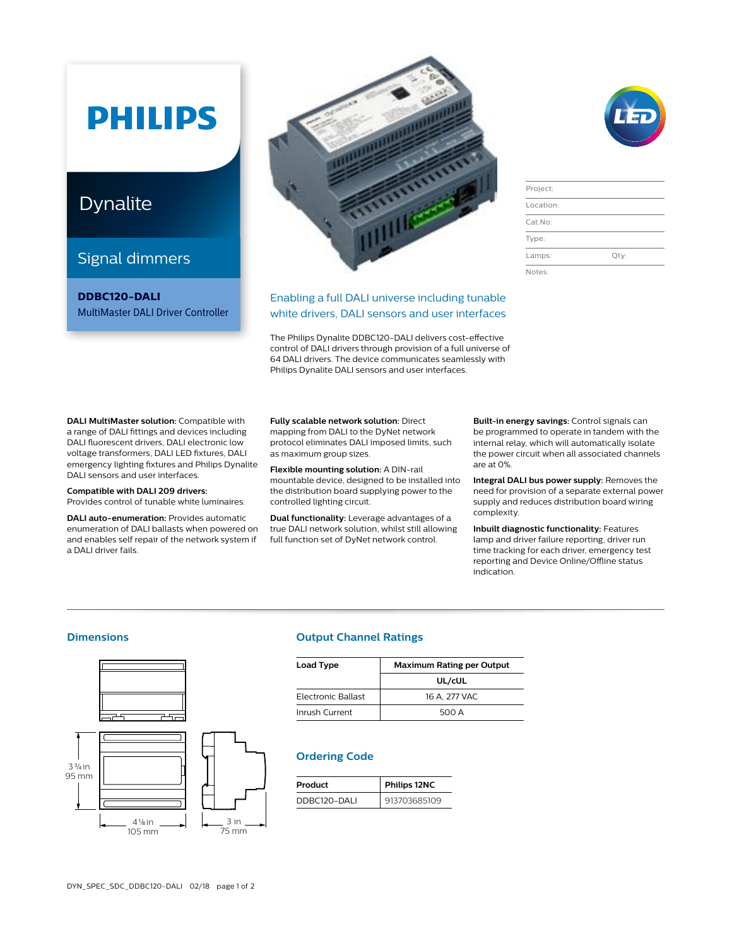# **PHILIPS**

### Dynalite

### Signal dimmers

**DDBC120-DALI** MultiMaster DALI Driver Controller



### Enabling a full DALI universe including tunable white drivers, DALI sensors and user interfaces

The Philips Dynalite DDBC120-DALI delivers cost-effective control of DALI drivers through provision of a full universe of 64 DALI drivers. The device communicates seamlessly with Philips Dynalite DALI sensors and user interfaces.

| Project:  |         |
|-----------|---------|
| Location: |         |
| $Cat$ No: |         |
| Type:     |         |
| Lamps:    | $Qtv$ : |
| Notes:    |         |

**DALI MultiMaster solution:** Compatible with a range of DALI fittings and devices including DALI fluorescent drivers, DALI electronic low voltage transformers, DALI LED fixtures, DALI emergency lighting fixtures and Philips Dynalite DALI sensors and user interfaces.

**Compatible with DALI 209 drivers:** Provides control of tunable white luminaires.

**DALI auto-enumeration:** Provides automatic enumeration of DALI ballasts when powered on and enables self repair of the network system if a DALI driver fails.

**Fully scalable network solution:** Direct mapping from DALI to the DyNet network protocol eliminates DALI imposed limits, such as maximum group sizes.

**Flexible mounting solution:** A DIN-rail mountable device, designed to be installed into the distribution board supplying power to the controlled lighting circuit.

**Dual functionality:** Leverage advantages of a true DALI network solution, whilst still allowing full function set of DyNet network control.

**Built-in energy savings:** Control signals can be programmed to operate in tandem with the internal relay, which will automatically isolate the power circuit when all associated channels are at 0%.

**Integral DALI bus power supply:** Removes the need for provision of a separate external power supply and reduces distribution board wiring complexity.

**Inbuilt diagnostic functionality:** Features lamp and driver failure reporting, driver run time tracking for each driver, emergency test reporting and Device Online/Offline status indication.



### **Dimensions Output Channel Ratings**

| <b>Load Type</b>   | <b>Maximum Rating per Output</b> |
|--------------------|----------------------------------|
|                    | UL/cUL                           |
| Electronic Ballast | 16 A, 277 VAC                    |
| Inrush Current     | 500 A                            |

### **Ordering Code**

| Product      | Philips 12NC |
|--------------|--------------|
| DDBC120-DALL | 913703685109 |